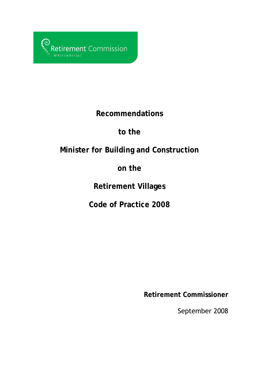

### **Recommendations**

## **to the**

# **Minister for Building and Construction**

## **on the**

## **Retirement Villages**

## **Code of Practice 2008**

**Retirement Commissioner** 

September 2008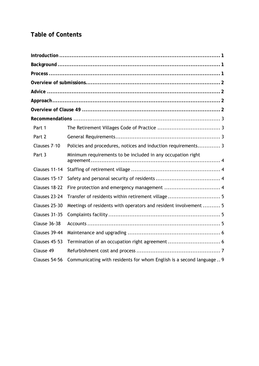### **Table of Contents**

| Part 1        |                                                                      |
|---------------|----------------------------------------------------------------------|
| Part 2        |                                                                      |
| Clauses 7-10  | Policies and procedures, notices and induction requirements 3        |
| Part 3        | Minimum requirements to be included in any occupation right          |
| Clauses 11-14 |                                                                      |
| Clauses 15-17 |                                                                      |
| Clauses 18-22 |                                                                      |
| Clauses 23-24 | Transfer of residents within retirement village 5                    |
| Clauses 25-30 | Meetings of residents with operators and resident involvement  5     |
| Clauses 31-35 |                                                                      |
| Clause 36-38  |                                                                      |
| Clauses 39-44 |                                                                      |
| Clauses 45-53 | Termination of an occupation right agreement  6                      |
| Clause 49     |                                                                      |
| Clauses 54-56 | Communicating with residents for whom English is a second language 9 |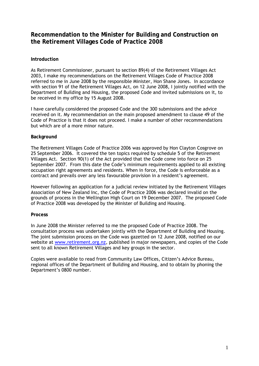### **Recommendation to the Minister for Building and Construction on the Retirement Villages Code of Practice 2008**

#### **Introduction**

As Retirement Commissioner, pursuant to section 89(4) of the Retirement Villages Act 2003, I make my recommendations on the Retirement Villages Code of Practice 2008 referred to me in June 2008 by the responsible Minister, Hon Shane Jones. In accordance with section 91 of the Retirement Villages Act, on 12 June 2008, I jointly notified with the Department of Building and Housing, the proposed Code and invited submissions on it, to be received in my office by 15 August 2008.

I have carefully considered the proposed Code and the 300 submissions and the advice received on it. My recommendation on the main proposed amendment to clause 49 of the Code of Practice is that it does not proceed. I make a number of other recommendations but which are of a more minor nature.

#### **Background**

The Retirement Villages Code of Practice 2006 was approved by Hon Clayton Cosgrove on 25 September 2006. It covered the ten topics required by schedule 5 of the Retirement Villages Act. Section 90(1) of the Act provided that the Code come into force on 25 September 2007. From this date the Code's minimum requirements applied to all existing occupation right agreements and residents. When in force, the Code is enforceable as a contract and prevails over any less favourable provision in a resident's agreement.

However following an application for a judicial review initiated by the Retirement Villages Association of New Zealand Inc, the Code of Practice 2006 was declared invalid on the grounds of process in the Wellington High Court on 19 December 2007. The proposed Code of Practice 2008 was developed by the Minister of Building and Housing.

#### **Process**

In June 2008 the Minister referred to me the proposed Code of Practice 2008. The consultation process was undertaken jointly with the Department of Building and Housing. The joint submission process on the Code was gazetted on 12 June 2008, notified on our website at [www.retirement.org.nz](http://www.retirement.org.nz/), published in major newspapers, and copies of the Code sent to all known Retirement Villages and key groups in the sector.

Copies were available to read from Community Law Offices, Citizen's Advice Bureau, regional offices of the Department of Building and Housing, and to obtain by phoning the Department's 0800 number.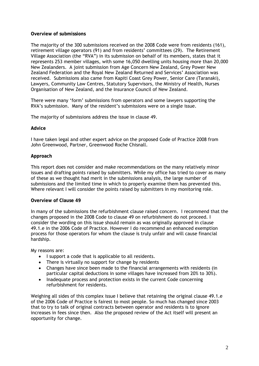#### **Overview of submissions**

The majority of the 300 submissions received on the 2008 Code were from residents (161), retirement village operators (91) and from residents' committees (29). The Retirement Village Association (the "RVA") in its submission on behalf of its members, states that it represents 253 member villages, with some 16,050 dwelling units housing more than 20,000 New Zealanders. A joint submission from Age Concern New Zealand, Grey Power New Zealand Federation and the Royal New Zealand Returned and Services' Association was received. Submissions also came from Kapiti Coast Grey Power, Senior Care (Taranaki), Lawyers, Community Law Centres, Statutory Supervisors, the Ministry of Health, Nurses Organisation of New Zealand, and the Insurance Council of New Zealand.

There were many 'form' submissions from operators and some lawyers supporting the RVA's submission. Many of the resident's submissions were on a single issue.

The majority of submissions address the issue in clause 49.

#### **Advice**

I have taken legal and other expert advice on the proposed Code of Practice 2008 from John Greenwood, Partner, Greenwood Roche Chisnall.

#### **Approach**

This report does not consider and make recommendations on the many relatively minor issues and drafting points raised by submitters. While my office has tried to cover as many of these as we thought had merit in the submissions analysis, the large number of submissions and the limited time in which to properly examine them has prevented this. Where relevant I will consider the points raised by submitters in my monitoring role.

#### **Overview of Clause 49**

In many of the submissions the refurbishment clause raised concern. I recommend that the changes proposed in the 2008 Code to clause 49 on refurbishment do not proceed. I consider the wording on this issue should remain as was originally approved in clause 49.1.e in the 2006 Code of Practice. However I do recommend an enhanced exemption process for those operators for whom the clause is truly unfair and will cause financial hardship.

My reasons are:

- I support a code that is applicable to all residents.
- There is virtually no support for change by residents
- Changes have since been made to the financial arrangements with residents (in particular capital deductions in some villages have increased from 20% to 30%).
- Inadequate process and protection exists in the current Code concerning refurbishment for residents.

Weighing all sides of this complex issue I believe that retaining the original clause 49.1.e of the 2006 Code of Practice is fairest to most people. So much has changed since 2003 that to try to talk of original contracts between operator and residents is to ignore increases in fees since then. Also the proposed review of the Act itself will present an opportunity for change.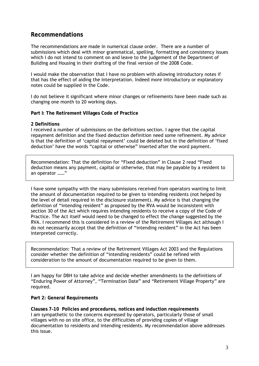### **Recommendations**

The recommendations are made in numerical clause order. There are a number of submissions which deal with minor grammatical, spelling, formatting and consistency issues which I do not intend to comment on and leave to the judgement of the Department of Building and Housing in their drafting of the final version of the 2008 Code.

I would make the observation that I have no problem with allowing introductory notes if that has the effect of aiding the interpretation. Indeed more introductory or explanatory notes could be supplied in the Code.

I do not believe it significant where minor changes or refinements have been made such as changing one month to 20 working days.

**Part I: The Retirement Villages Code of Practice** 

#### **2 Definitions**

I received a number of submissions on the definitions section. I agree that the capital repayment definition and the fixed deduction definition need some refinement. My advice is that the definition of 'capital repayment' could be deleted but in the definition of 'fixed deduction' have the words "capital or otherwise" inserted after the word payment.

Recommendation: That the definition for "Fixed deduction" in Clause 2 read "Fixed deduction means any payment, capital or otherwise, that may be payable by a resident to an operator ……"

I have some sympathy with the many submissions received from operators wanting to limit the amount of documentation required to be given to intending residents (not helped by the level of detail required in the disclosure statement). My advice is that changing the definition of "intending resident" as proposed by the RVA would be inconsistent with section 30 of the Act which requires intending residents to receive a copy of the Code of Practice. The Act itself would need to be changed to effect the change suggested by the RVA. I recommend this is considered in a review of the Retirement Villages Act although I do not necessarily accept that the definition of "intending resident" in the Act has been interpreted correctly.

Recommendation: That a review of the Retirement Villages Act 2003 and the Regulations consider whether the definition of "intending residents" could be refined with consideration to the amount of documentation required to be given to them.

I am happy for DBH to take advice and decide whether amendments to the definitions of "Enduring Power of Attorney", "Termination Date" and "Retirement Village Property" are required.

#### **Part 2: General Requirements**

**Clauses 7–10 Policies and procedures, notices and induction requirements**  I am sympathetic to the concerns expressed by operators, particularly those of small villages with no on site office, to the difficulties of providing copies of village documentation to residents and intending residents. My recommendation above addresses this issue.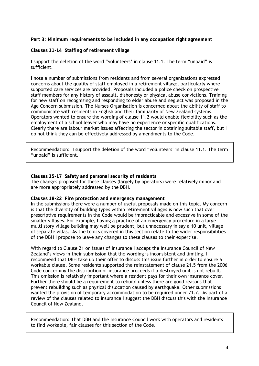**Part 3: Minimum requirements to be included in any occupation right agreement**

**Clauses 11-14 Staffing of retirement village** 

I support the deletion of the word "volunteers' in clause 11.1. The term "unpaid" is sufficient.

I note a number of submissions from residents and from several organizations expressed concerns about the quality of staff employed in a retirement village, particularly where supported care services are provided. Proposals included a police check on prospective staff members for any history of assault, dishonesty or physical abuse convictions. Training for new staff on recognising and responding to elder abuse and neglect was proposed in the Age Concern submission. The Nurses Organisation is concerned about the ability of staff to communicate with residents in English and their familiarity of New Zealand systems. Operators wanted to ensure the wording of clause 11.2 would enable flexibility such as the employment of a school leaver who may have no experience or specific qualifications. Clearly there are labour market issues affecting the sector in obtaining suitable staff, but I do not think they can be effectively addressed by amendments to the Code.

Recommendation: I support the deletion of the word "volunteers' in clause 11.1. The term "unpaid" is sufficient.

**Clauses 15-17 Safety and personal security of residents**  The changes proposed for these clauses (largely by operators) were relatively minor and are more appropriately addressed by the DBH.

#### **Clauses 18-22 Fire protection and emergency management**

In the submissions there were a number of useful proposals made on this topic. My concern is that the diversity of building types within retirement villages is now such that over prescriptive requirements in the Code would be impracticable and excessive in some of the smaller villages. For example, having a practice of an emergency procedure in a large multi story village building may well be prudent, but unnecessary in say a 10 unit, village of separate villas. As the topics covered in this section relate to the wider responsibilities of the DBH I propose to leave any changes to these clauses to their expertise.

With regard to Clause 21 on issues of insurance I accept the Insurance Council of New Zealand's views in their submission that the wording is inconsistent and limiting. I recommend that DBH take up their offer to discuss this issue further in order to ensure a workable clause. Some residents supported the reinstatement of clause 21.5 from the 2006 Code concerning the distribution of insurance proceeds if a destroyed unit is not rebuilt. This omission is relatively important where a resident pays for their own insurance cover. Further there should be a requirement to rebuild unless there are good reasons that prevent rebuilding such as physical dislocation caused by earthquake. Other submissions wanted the provision of temporary accommodation to be required under 21.7. As part of a review of the clauses related to insurance I suggest the DBH discuss this with the Insurance Council of New Zealand.

Recommendation: That DBH and the Insurance Council work with operators and residents to find workable, fair clauses for this section of the Code.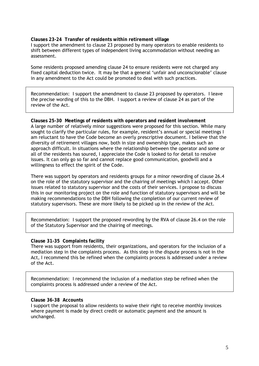**Clauses 23-24 Transfer of residents within retirement village**  I support the amendment to clause 23 proposed by many operators to enable residents to shift between different types of independent living accommodation without needing an assessment.

Some residents proposed amending clause 24 to ensure residents were not charged any fixed capital deduction twice. It may be that a general 'unfair and unconscionable' clause in any amendment to the Act could be promoted to deal with such practices.

Recommendation: I support the amendment to clause 23 proposed by operators. I leave the precise wording of this to the DBH. I support a review of clause 24 as part of the review of the Act.

**Clauses 25-30 Meetings of residents with operators and resident involvement**  A large number of relatively minor suggestions were proposed for this section. While many sought to clarify the particular rules, for example, resident's annual or special meetings I am reluctant to have the Code become an overly prescriptive document. I believe that the diversity of retirement villages now, both in size and ownership type, makes such an approach difficult. In situations where the relationship between the operator and some or all of the residents has soured, I appreciate the Code is looked to for detail to resolve issues. It can only go so far and cannot replace good communication, goodwill and a willingness to effect the spirit of the Code.

There was support by operators and residents groups for a minor rewording of clause 26.4 on the role of the statutory supervisor and the chairing of meetings which I accept. Other issues related to statutory supervisor and the costs of their services. I propose to discuss this in our monitoring project on the role and function of statutory supervisors and will be making recommendations to the DBH following the completion of our current review of statutory supervisors. These are more likely to be picked up in the review of the Act.

Recommendation: I support the proposed rewording by the RVA of clause 26.4 on the role of the Statutory Supervisor and the chairing of meetings.

#### **Clause 31-35 Complaints facility**

There was support from residents, their organizations, and operators for the inclusion of a mediation step in the complaints process. As this step in the dispute process is not in the Act, I recommend this be refined when the complaints process is addressed under a review of the Act.

Recommendation: I recommend the inclusion of a mediation step be refined when the complaints process is addressed under a review of the Act.

#### **Clause 36-38 Accounts**

I support the proposal to allow residents to waive their right to receive monthly invoices where payment is made by direct credit or automatic payment and the amount is unchanged.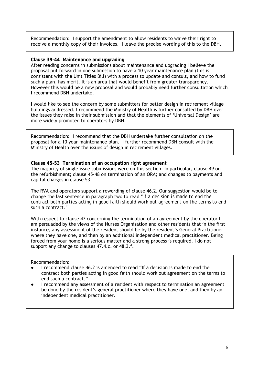Recommendation: I support the amendment to allow residents to waive their right to receive a monthly copy of their invoices. I leave the precise wording of this to the DBH.

#### **Clause 39-44 Maintenance and upgrading**

After reading concerns in submissions about maintenance and upgrading I believe the proposal put forward in one submission to have a 10 year maintenance plan (this is consistent with the Unit Titles Bill) with a process to update and consult, and how to fund such a plan, has merit. It is an area that would benefit from greater transparency. However this would be a new proposal and would probably need further consultation which I recommend DBH undertake.

I would like to see the concern by some submitters for better design in retirement village buildings addressed. I recommend the Ministry of Health is further consulted by DBH over the issues they raise in their submission and that the elements of 'Universal Design' are more widely promoted to operators by DBH.

Recommendation: I recommend that the DBH undertake further consultation on the proposal for a 10 year maintenance plan. I further recommend DBH consult with the Ministry of Health over the issues of design in retirement villages.

**Clause 45–53 Termination of an occupation right agreement**  The majority of single issue submissions were on this section. In particular, clause 49 on the refurbishment; clause 45-48 on termination of an ORA; and changes to payments and capital charges in clause 53.

The RVA and operators support a rewording of clause 46.2. Our suggestion would be to change the last sentence in paragraph two to read *"If a decision is made to end the contract both parties acting in good faith should work out agreement on the terms to end such a contract."*

With respect to clause 47 concerning the termination of an agreement by the operator I am persuaded by the views of the Nurses Organisation and other residents that in the first instance, any assessment of the resident should be by the resident's General Practitioner where they have one, and then by an additional independent medical practitioner. Being forced from your home is a serious matter and a strong process is required. I do not support any change to clauses 47.4.c. or 48.3.f.

#### Recommendation:

- I recommend clause 46.2 is amended to read "If a decision is made to end the contract both parties acting in good faith should work out agreement on the terms to end such a contract."
- I recommend any assessment of a resident with respect to termination an agreement be done by the resident's general practitioner where they have one, and then by an independent medical practitioner.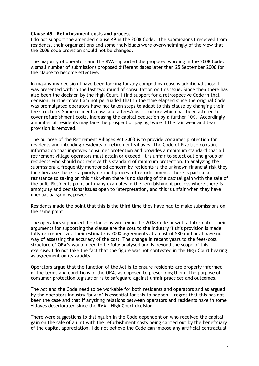#### **Clause 49 Refurbishment costs and process**

I do not support the amended clause 49 in the 2008 Code. The submissions I received from residents, their organizations and some individuals were overwhelmingly of the view that the 2006 code provision should not be changed.

The majority of operators and the RVA supported the proposed wording in the 2008 Code. A small number of submissions proposed different dates later than 25 September 2006 for the clause to become effective.

In making my decision I have been looking for any compelling reasons additional those I was presented with in the last two round of consultation on this issue. Since then there has also been the decision by the High Court. I find support for a retrospective Code in that decision. Furthermore I am not persuaded that in the time elapsed since the original Code was promulgated operators have not taken steps to adapt to this clause by changing their fee structure. Some residents now face a fees/cost structure which has been altered to cover refurbishment costs, increasing the capital deduction by a further 10%. Accordingly a number of residents may face the prospect of paying twice if the fair wear and tear provision is removed.

The purpose of the Retirement Villages Act 2003 is to provide consumer protection for residents and intending residents of retirement villages. The Code of Practice contains information that improves consumer protection and provides a minimum standard that all retirement village operators must attain or exceed. It is unfair to select out one group of residents who should not receive this standard of minimum protection. In analyzing the submissions a frequently mentioned concern by residents is the unknown financial risk they face because there is a poorly defined process of refurbishment. There is particular resistance to taking on this risk when there is no sharing of the capital gain with the sale of the unit. Residents point out many examples in the refurbishment process where there is ambiguity and decisions/issues open to interpretation, and this is unfair when they have unequal bargaining power.

Residents made the point that this is the third time they have had to make submissions on the same point.

The operators supported the clause as written in the 2008 Code or with a later date. Their arguments for supporting the clause are the cost to the industry if this provision is made fully retrospective. Their estimate is 7000 agreements at a cost of \$80 million. I have no way of assessing the accuracy of the cost. The change in recent years to the fees/cost structure of ORA's would need to be fully analysed and is beyond the scope of this exercise. I do not take the fact that the figure was not contested in the High Court hearing as agreement on its validity.

Operators argue that the function of the Act is to ensure residents are properly informed of the terms and conditions of the ORA, as opposed to prescribing them. The purpose of consumer protection legislation is to safeguard against unfair practices and outcomes.

The Act and the Code need to be workable for both residents and operators and as argued by the operators industry 'buy in' is essential for this to happen. I regret that this has not been the case and that if anything relations between operators and residents have in some villages deteriorated since the RVA - High Court decision.

There were suggestions to distinguish in the Code dependent on who received the capital gain on the sale of a unit with the refurbishment costs being carried out by the beneficiary of the capital appreciation. I do not believe the Code can impose any artificial contractual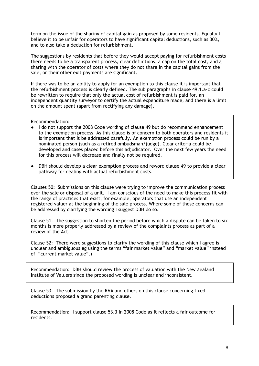term on the issue of the sharing of capital gain as proposed by some residents. Equally I believe it to be unfair for operators to have significant capital deductions, such as 30%, and to also take a deduction for refurbishment.

The suggestions by residents that before they would accept paying for refurbishment costs there needs to be a transparent process, clear definitions, a cap on the total cost, and a sharing with the operator of costs where they do not share in the capital gains from the sale, or their other exit payments are significant.

If there was to be an ability to apply for an exemption to this clause it is important that the refurbishment process is clearly defined. The sub paragraphs in clause 49.1.a-c could be rewritten to require that only the actual cost of refurbishment is paid for, an independent quantity surveyor to certify the actual expenditure made, and there is a limit on the amount spent (apart from rectifying any damage).

Recommendation:

- I do not support the 2008 Code wording of clause 49 but do recommend enhancement to the exemption process. As this clause is of concern to both operators and residents it is important that it be addressed carefully. An exemption process could be run by a nominated person (such as a retired ombudsman/judge). Clear criteria could be developed and cases placed before this adjudicator. Over the next few years the need for this process will decrease and finally not be required.
- DBH should develop a clear exemption process and reword clause 49 to provide a clear pathway for dealing with actual refurbishment costs.

Clauses 50: Submissions on this clause were trying to improve the communication process over the sale or disposal of a unit. I am conscious of the need to make this process fit with the range of practices that exist, for example, operators that use an independent registered valuer at the beginning of the sale process. Where some of those concerns can be addressed by clarifying the wording I suggest DBH do so.

Clause 51: The suggestion to shorten the period before which a dispute can be taken to six months is more properly addressed by a review of the complaints process as part of a review of the Act.

Clause 52: There were suggestions to clarify the wording of this clause which I agree is unclear and ambiguous eg using the terms "fair market value" and "market value" instead of "current market value".)

Recommendation: DBH should review the process of valuation with the New Zealand Institute of Valuers since the proposed wording is unclear and inconsistent.

Clause 53: The submission by the RVA and others on this clause concerning fixed deductions proposed a grand parenting clause.

Recommendation: I support clause 53.3 in 2008 Code as it reflects a fair outcome for residents.